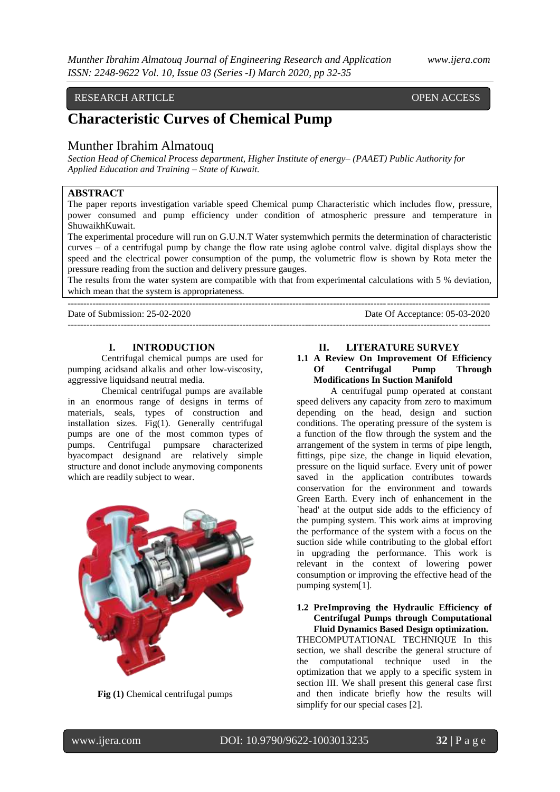# RESEARCH ARTICLE **OPEN ACCESS**

# **Characteristic Curves of Chemical Pump**

# Munther Ibrahim Almatouq

*Section Head of Chemical Process department, Higher Institute of energy– (PAAET) Public Authority for Applied Education and Training – State of Kuwait.*

# **ABSTRACT**

The paper reports investigation variable speed Chemical pump Characteristic which includes flow, pressure, power consumed and pump efficiency under condition of atmospheric pressure and temperature in ShuwaikhKuwait.

The experimental procedure will run on G.U.N.T Water systemwhich permits the determination of characteristic curves – of a centrifugal pump by change the flow rate using aglobe control valve. digital displays show the speed and the electrical power consumption of the pump, the volumetric flow is shown by Rota meter the pressure reading from the suction and delivery pressure gauges.

The results from the water system are compatible with that from experimental calculations with 5 % deviation, which mean that the system is appropriateness. ---------------------------------------------------------------------------------------------------------------------------------------

Date of Submission: 25-02-2020 Date Of Acceptance: 05-03-2020

---------------------------------------------------------------------------------------------------------------------------------------

#### **I. INTRODUCTION**

Centrifugal chemical pumps are used for pumping acidsand alkalis and other low-viscosity, aggressive liquidsand neutral media.

Chemical centrifugal pumps are available in an enormous range of designs in terms of materials, seals, types of construction and installation sizes. Fig(1). Generally centrifugal pumps are one of the most common types of pumps. Centrifugal pumpsare characterized byacompact designand are relatively simple structure and donot include anymoving components which are readily subject to wear.



**Fig (1)** Chemical centrifugal pumps

# **II. LITERATURE SURVEY**

# **1.1 A Review On Improvement Of Efficiency Of Centrifugal Pump Through Modifications In Suction Manifold**

A centrifugal pump operated at constant speed delivers any capacity from zero to maximum depending on the head, design and suction conditions. The operating pressure of the system is a function of the flow through the system and the arrangement of the system in terms of pipe length, fittings, pipe size, the change in liquid elevation, pressure on the liquid surface. Every unit of power saved in the application contributes towards conservation for the environment and towards Green Earth. Every inch of enhancement in the `head' at the output side adds to the efficiency of the pumping system. This work aims at improving the performance of the system with a focus on the suction side while contributing to the global effort in upgrading the performance. This work is relevant in the context of lowering power consumption or improving the effective head of the pumping system[1].

#### **1.2 PreImproving the Hydraulic Efficiency of Centrifugal Pumps through Computational Fluid Dynamics Based Design optimization.**

THECOMPUTATIONAL TECHNIQUE In this section, we shall describe the general structure of the computational technique used in the optimization that we apply to a specific system in section III. We shall present this general case first and then indicate briefly how the results will simplify for our special cases [2].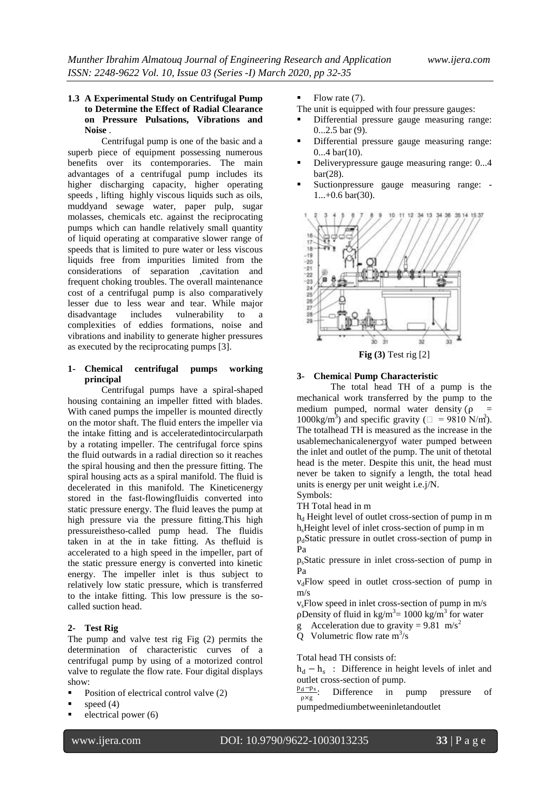#### **1.3 A Experimental Study on Centrifugal Pump to Determine the Effect of Radial Clearance on Pressure Pulsations, Vibrations and Noise** .

Centrifugal pump is one of the basic and a superb piece of equipment possessing numerous benefits over its contemporaries. The main advantages of a centrifugal pump includes its higher discharging capacity, higher operating speeds , lifting highly viscous liquids such as oils, muddyand sewage water, paper pulp, sugar molasses, chemicals etc. against the reciprocating pumps which can handle relatively small quantity of liquid operating at comparative slower range of speeds that is limited to pure water or less viscous liquids free from impurities limited from the considerations of separation ,cavitation and frequent choking troubles. The overall maintenance cost of a centrifugal pump is also comparatively lesser due to less wear and tear. While major disadvantage includes vulnerability to a complexities of eddies formations, noise and vibrations and inability to generate higher pressures as executed by the reciprocating pumps [3].

# **1- Chemical centrifugal pumps working principal**

Centrifugal pumps have a spiral-shaped housing containing an impeller fitted with blades. With caned pumps the impeller is mounted directly on the motor shaft. The fluid enters the impeller via the intake fitting and is acceleratedintocircularpath by a rotating impeller. The centrifugal force spins the fluid outwards in a radial direction so it reaches the spiral housing and then the pressure fitting. The spiral housing acts as a spiral manifold. The fluid is decelerated in this manifold. The Kineticenergy stored in the fast-flowingfluidis converted into static pressure energy. The fluid leaves the pump at high pressure via the pressure fitting.This high pressureistheso-called pump head. The fluidis taken in at the in take fitting. As thefluid is accelerated to a high speed in the impeller, part of the static pressure energy is converted into kinetic energy. The impeller inlet is thus subject to relatively low static pressure, which is transferred to the intake fitting. This low pressure is the socalled suction head.

# **2- Test Rig**

The pump and valve test rig Fig (2) permits the determination of characteristic curves of a centrifugal pump by using of a motorized control valve to regulate the flow rate. Four digital displays show:

- Position of electrical control valve (2)
- speed (4)
- electrical power (6)

Flow rate (7).

- The unit is equipped with four pressure gauges:
- Differential pressure gauge measuring range:  $0.25$  bar  $(9)$ .
- Differential pressure gauge measuring range: 0...4 bar(10).
- Deliverypressure gauge measuring range: 0...4 bar(28).
- Suctionpressure gauge measuring range:  $1...+0.6$  bar(30).



**Fig (3)** Test rig [2]

# **3- Chemica**l **Pump Characteristic**

The total head TH of a pump is the mechanical work transferred by the pump to the medium pumped, normal water density ( $\rho$  = 1000kg/m<sup>3</sup>) and specific gravity ( $\square$  = 9810 N/m<sup>3</sup>). The totalhead TH is measured as the increase in the usablemechanicalenergyof water pumped between the inlet and outlet of the pump. The unit of thetotal head is the meter. Despite this unit, the head must never be taken to signify a length, the total head units is energy per unit weight i.e.j/N.

Symbols:

TH Total head in m

 $h_d$  Height level of outlet cross-section of pump in m h<sub>s</sub>Height level of inlet cross-section of pump in m

 $p_d$ Static pressure in outlet cross-section of pump in Pa

psStatic pressure in inlet cross-section of pump in Pa

 $v_d$ Flow speed in outlet cross-section of pump in m/s

 $v_s$ Flow speed in inlet cross-section of pump in  $m/s$ pDensity of fluid in  $\text{kg/m}^3$  = 1000 kg/m<sup>3</sup> for water

g Acceleration due to gravity =  $9.81 \text{ m/s}^2$ 

Q Volumetric flow rate  $m^3/s$ 

Total head TH consists of:

 $h_d - h_s$ : Difference in height levels of inlet and outlet cross-section of pump.

 $\frac{p_d - p_s}{q}$ . ρ×g Difference in pump pressure of pumpedmediumbetweeninletandoutlet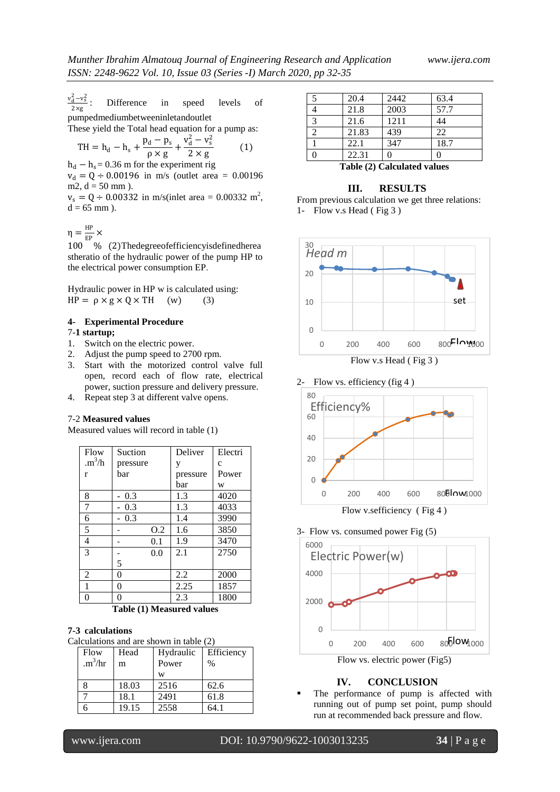$v_d^2 - v_s^2$  $2\times g$ Difference in speed levels of pumpedmediumbetweeninletandoutlet

These yield the Total head equation for a pump as: 2

$$
TH = h_d - h_s + \frac{p_d - p_s}{\rho \times g} + \frac{v_d^2 - v_s^2}{2 \times g}
$$
 (1)

 $h_d - h_s = 0.36$  m for the experiment rig

 $v_d = Q \div 0.00196$  in m/s (outlet area = 0.00196 m2,  $d = 50$  mm).

 $v_s = Q \div 0.00332$  in m/s(inlet area = 0.00332 m<sup>2</sup>,  $d = 65$  mm  $)$ .

 $\eta = \frac{HP}{FD}$  $\frac{m}{EP}$   $\times$ 

100 % (2)Thedegreeofefficiencyisdefinedherea stheratio of the hydraulic power of the pump HP to the electrical power consumption EP.

Hydraulic power in HP w is calculated using:  $HP = \rho \times g \times Q \times TH$  (w) (3)

# **4- Experimental Procedure**

#### 7-**1 startup;**

- 1. Switch on the electric power.
- 2. Adjust the pump speed to 2700 rpm.
- 3. Start with the motorized control valve full open, record each of flow rate, electrical power, suction pressure and delivery pressure.
- 4. Repeat step 3 at different valve opens.

#### 7-2 **Measured values**

Measured values will record in table (1)

| Flow                      | Suction  | Deliver  | Electri      |
|---------------------------|----------|----------|--------------|
| $\cdot$ m <sup>3</sup> /h | pressure | V        | $\mathbf{C}$ |
| r                         | bar      | pressure | Power        |
|                           |          | bar      | W            |
| 8                         | $-0.3$   | 1.3      | 4020         |
| 7                         | $-0.3$   | 1.3      | 4033         |
| 6                         | $-0.3$   | 1.4      | 3990         |
| 5                         | 0.2      | 1.6      | 3850         |
| 4                         | 0.1      | 1.9      | 3470         |
| 3                         | 0.0      | 2.1      | 2750         |
|                           | 5        |          |              |
| 2                         | 0        | 2.2      | 2000         |
| 1                         | 0        | 2.25     | 1857         |
| 0                         | 0        | 2.3      | 1800         |

**Table (1) Measured values**

#### **7-3 calculations**

Calculations and are shown in table (2)

| <b>Flow</b>         | Head  | Hydraulic | Efficiency    |
|---------------------|-------|-----------|---------------|
| .m <sup>3</sup> /hr | m     | Power     | $\frac{0}{0}$ |
|                     |       | w         |               |
| 8                   | 18.03 | 2516      | 62.6          |
|                     | 18.1  | 2491      | 61.8          |
|                     | 19.15 | 2558      | 64.1          |

| -5 | 20.4  | 2442            | 63.4 |  |
|----|-------|-----------------|------|--|
|    | 21.8  | 2003            | 57.7 |  |
| 3  | 21.6  | 1211            | 44   |  |
|    | 21.83 | 439             | 22   |  |
|    | 22.1  | $\frac{347}{ }$ | 18.7 |  |
|    | 22.31 |                 | 0    |  |
|    |       |                 |      |  |

**Table (2) Calculated values**

#### **III. RESULTS**

From previous calculation we get three relations: 1- Flow v.s Head ( Fig 3 )











#### **IV. CONCLUSION**

 The performance of pump is affected with running out of pump set point, pump should run at recommended back pressure and flow.